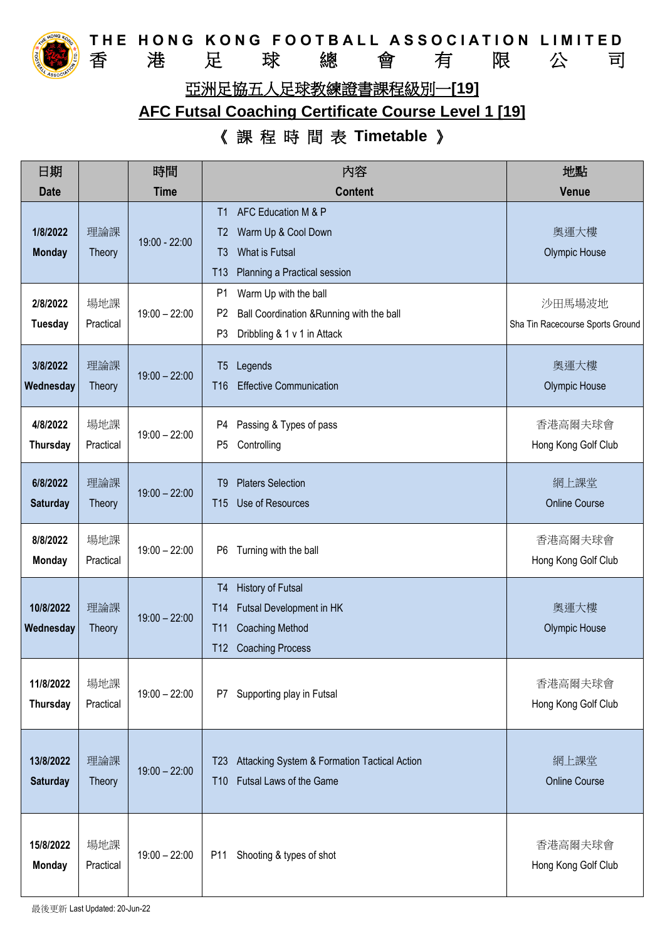

THE HONG KONG FOOTBALL ASSOCIATION LIMITED 香 港 足 球 總 會 有 限 公 司 亞洲足協五人足球教練證書課程級別一**[19]**

## **AFC Futsal Coaching Certificate Course Level 1 [19]**

## 《 課 程 時 間 表 **Timetable** 》

| 日期                           |                      | 時間              | 内容                                                                                                                                                                         | 地點                                         |
|------------------------------|----------------------|-----------------|----------------------------------------------------------------------------------------------------------------------------------------------------------------------------|--------------------------------------------|
| <b>Date</b>                  |                      | <b>Time</b>     | <b>Content</b>                                                                                                                                                             | <b>Venue</b>                               |
| 1/8/2022<br><b>Monday</b>    | 理論課<br>Theory        | 19:00 - 22:00   | AFC Education M & P<br>T1<br>Warm Up & Cool Down<br>T <sub>2</sub><br>What is Futsal<br>T <sub>3</sub><br>Planning a Practical session<br>T13                              | 奧運大樓<br><b>Olympic House</b>               |
| 2/8/2022<br><b>Tuesday</b>   | 場地課<br>Practical     | $19:00 - 22:00$ | P <sub>1</sub><br>Warm Up with the ball<br>P <sub>2</sub><br>Ball Coordination & Running with the ball<br>P3<br>Dribbling & 1 v 1 in Attack                                | 沙田馬場波地<br>Sha Tin Racecourse Sports Ground |
| 3/8/2022<br>Wednesday        | 理論課<br>Theory        | $19:00 - 22:00$ | Legends<br>T <sub>5</sub><br><b>Effective Communication</b><br>T <sub>16</sub>                                                                                             | 奧運大樓<br><b>Olympic House</b>               |
| 4/8/2022<br>Thursday         | 場地課<br>Practical     | $19:00 - 22:00$ | Passing & Types of pass<br>P4<br>Controlling<br>P <sub>5</sub>                                                                                                             | 香港高爾夫球會<br>Hong Kong Golf Club             |
| 6/8/2022<br><b>Saturday</b>  | 理論課<br><b>Theory</b> | $19:00 - 22:00$ | <b>Platers Selection</b><br>T <sub>9</sub><br>Use of Resources<br><b>T15</b>                                                                                               | 網上課堂<br><b>Online Course</b>               |
| 8/8/2022<br><b>Monday</b>    | 場地課<br>Practical     | $19:00 - 22:00$ | Turning with the ball<br>P6                                                                                                                                                | 香港高爾夫球會<br>Hong Kong Golf Club             |
| 10/8/2022<br>Wednesday       | 理論課<br>Theory        | $19:00 - 22:00$ | <b>History of Futsal</b><br>T <sub>4</sub><br>Futsal Development in HK<br>T <sub>14</sub><br><b>Coaching Method</b><br><b>T11</b><br><b>Coaching Process</b><br><b>T12</b> | 奧運大樓<br>Olympic House                      |
| 11/8/2022<br><b>Thursday</b> | 場地課<br>Practical     | $19:00 - 22:00$ | Supporting play in Futsal<br>P7                                                                                                                                            | 香港高爾夫球會<br>Hong Kong Golf Club             |
| 13/8/2022<br><b>Saturday</b> | 理論課<br>Theory        | $19:00 - 22:00$ | Attacking System & Formation Tactical Action<br>T <sub>23</sub><br>Futsal Laws of the Game<br><b>T10</b>                                                                   | 網上課堂<br><b>Online Course</b>               |
| 15/8/2022<br><b>Monday</b>   | 場地課<br>Practical     | $19:00 - 22:00$ | Shooting & types of shot<br>P11                                                                                                                                            | 香港高爾夫球會<br>Hong Kong Golf Club             |